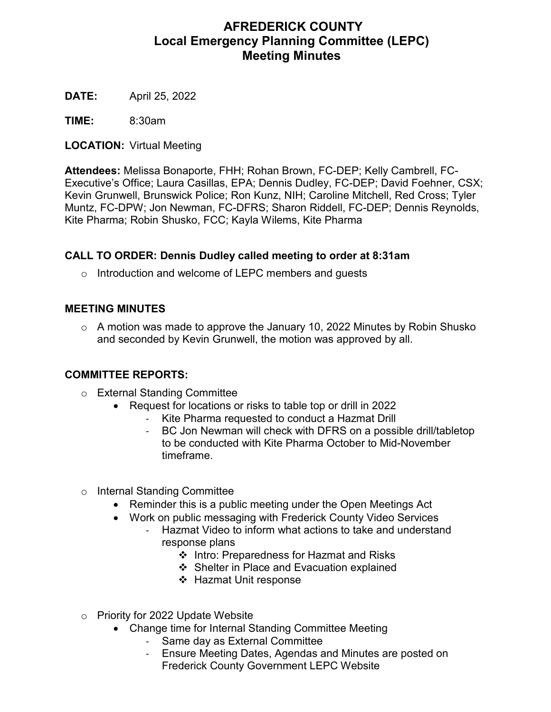# **AFREDERICK COUNTY Local Emergency Planning Committee (LEPC) Meeting Minutes**

**DATE:** April 25, 2022

**TIME:** 8:30am

**LOCATION:** Virtual Meeting

**Attendees:** Melissa Bonaporte, FHH; Rohan Brown, FC-DEP; Kelly Cambrell, FC-Executive's Office; Laura Casillas, EPA; Dennis Dudley, FC-DEP; David Foehner, CSX; Kevin Grunwell, Brunswick Police; Ron Kunz, NIH; Caroline Mitchell, Red Cross; Tyler Muntz, FC-DPW; Jon Newman, FC-DFRS; Sharon Riddell, FC-DEP; Dennis Reynolds, Kite Pharma; Robin Shusko, FCC; Kayla Wilems, Kite Pharma

# **CALL TO ORDER: Dennis Dudley called meeting to order at 8:31am**

o Introduction and welcome of LEPC members and guests

#### **MEETING MINUTES**

o A motion was made to approve the January 10, 2022 Minutes by Robin Shusko and seconded by Kevin Grunwell, the motion was approved by all.

## **COMMITTEE REPORTS:**

- o External Standing Committee
	- Request for locations or risks to table top or drill in 2022
		- Kite Pharma requested to conduct a Hazmat Drill
		- BC Jon Newman will check with DFRS on a possible drill/tabletop to be conducted with Kite Pharma October to Mid-November timeframe.
- o Internal Standing Committee
	- Reminder this is a public meeting under the Open Meetings Act
	- Work on public messaging with Frederick County Video Services
		- Hazmat Video to inform what actions to take and understand response plans
			- ❖ Intro: Preparedness for Hazmat and Risks
			- ❖ Shelter in Place and Evacuation explained
			- ❖ Hazmat Unit response
- o Priority for 2022 Update Website
	- Change time for Internal Standing Committee Meeting
		- Same day as External Committee
		- Ensure Meeting Dates, Agendas and Minutes are posted on Frederick County Government LEPC Website